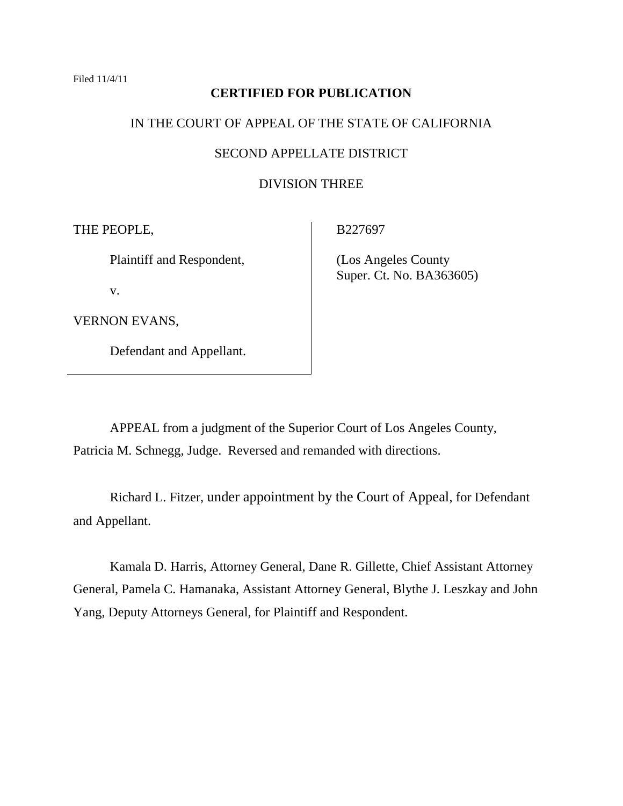# **CERTIFIED FOR PUBLICATION**

# IN THE COURT OF APPEAL OF THE STATE OF CALIFORNIA

## SECOND APPELLATE DISTRICT

# DIVISION THREE

THE PEOPLE,

Plaintiff and Respondent,

v.

VERNON EVANS,

Defendant and Appellant.

B227697

 (Los Angeles County Super. Ct. No. BA363605)

APPEAL from a judgment of the Superior Court of Los Angeles County, Patricia M. Schnegg, Judge. Reversed and remanded with directions.

Richard L. Fitzer, under appointment by the Court of Appeal, for Defendant and Appellant.

Kamala D. Harris, Attorney General, Dane R. Gillette, Chief Assistant Attorney General, Pamela C. Hamanaka, Assistant Attorney General, Blythe J. Leszkay and John Yang, Deputy Attorneys General, for Plaintiff and Respondent.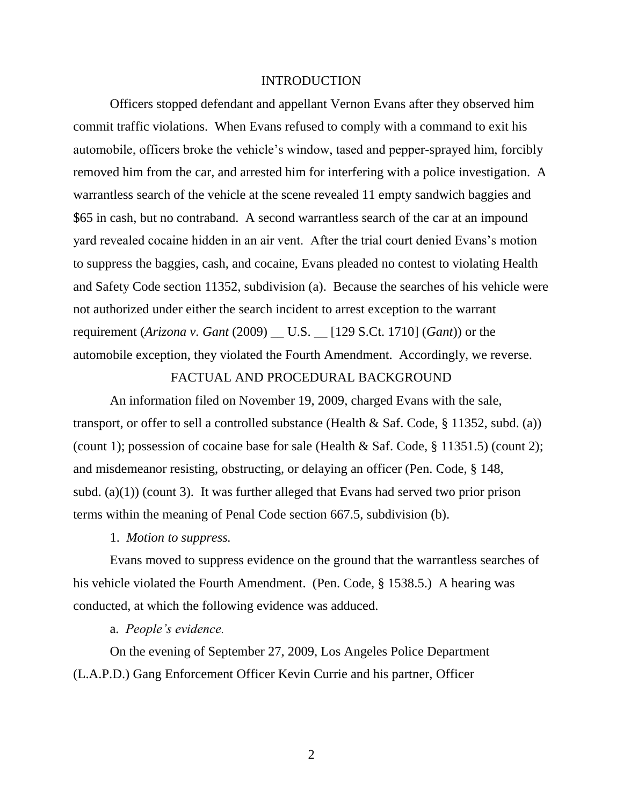#### INTRODUCTION

Officers stopped defendant and appellant Vernon Evans after they observed him commit traffic violations. When Evans refused to comply with a command to exit his automobile, officers broke the vehicle's window, tased and pepper-sprayed him, forcibly removed him from the car, and arrested him for interfering with a police investigation. A warrantless search of the vehicle at the scene revealed 11 empty sandwich baggies and \$65 in cash, but no contraband. A second warrantless search of the car at an impound yard revealed cocaine hidden in an air vent. After the trial court denied Evans's motion to suppress the baggies, cash, and cocaine, Evans pleaded no contest to violating Health and Safety Code section 11352, subdivision (a). Because the searches of his vehicle were not authorized under either the search incident to arrest exception to the warrant requirement (*Arizona v. Gant* (2009) \_\_ U.S. \_\_ [129 S.Ct. 1710] (*Gant*)) or the automobile exception, they violated the Fourth Amendment. Accordingly, we reverse.

## FACTUAL AND PROCEDURAL BACKGROUND

An information filed on November 19, 2009, charged Evans with the sale, transport, or offer to sell a controlled substance (Health & Saf. Code, § 11352, subd. (a)) (count 1); possession of cocaine base for sale (Health & Saf. Code, § 11351.5) (count 2); and misdemeanor resisting, obstructing, or delaying an officer (Pen. Code, § 148, subd. (a)(1)) (count 3). It was further alleged that Evans had served two prior prison terms within the meaning of Penal Code section 667.5, subdivision (b).

1. *Motion to suppress.*

Evans moved to suppress evidence on the ground that the warrantless searches of his vehicle violated the Fourth Amendment. (Pen. Code, § 1538.5.) A hearing was conducted, at which the following evidence was adduced.

a. *People's evidence.* 

On the evening of September 27, 2009, Los Angeles Police Department (L.A.P.D.) Gang Enforcement Officer Kevin Currie and his partner, Officer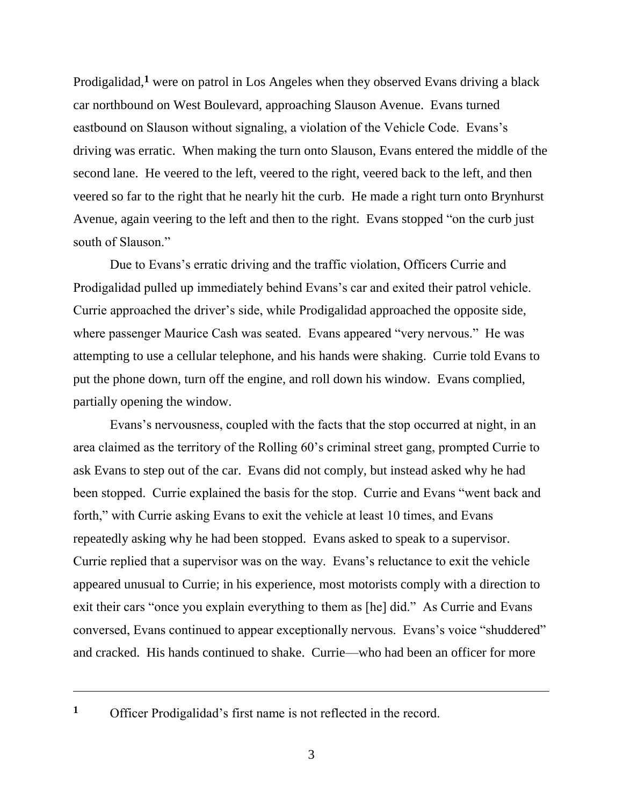Prodigalidad,**<sup>1</sup>** were on patrol in Los Angeles when they observed Evans driving a black car northbound on West Boulevard, approaching Slauson Avenue. Evans turned eastbound on Slauson without signaling, a violation of the Vehicle Code. Evans's driving was erratic. When making the turn onto Slauson, Evans entered the middle of the second lane. He veered to the left, veered to the right, veered back to the left, and then veered so far to the right that he nearly hit the curb. He made a right turn onto Brynhurst Avenue, again veering to the left and then to the right. Evans stopped "on the curb just south of Slauson."

Due to Evans's erratic driving and the traffic violation, Officers Currie and Prodigalidad pulled up immediately behind Evans's car and exited their patrol vehicle. Currie approached the driver's side, while Prodigalidad approached the opposite side, where passenger Maurice Cash was seated. Evans appeared "very nervous." He was attempting to use a cellular telephone, and his hands were shaking. Currie told Evans to put the phone down, turn off the engine, and roll down his window. Evans complied, partially opening the window.

Evans's nervousness, coupled with the facts that the stop occurred at night, in an area claimed as the territory of the Rolling 60's criminal street gang, prompted Currie to ask Evans to step out of the car. Evans did not comply, but instead asked why he had been stopped. Currie explained the basis for the stop. Currie and Evans "went back and forth," with Currie asking Evans to exit the vehicle at least 10 times, and Evans repeatedly asking why he had been stopped. Evans asked to speak to a supervisor. Currie replied that a supervisor was on the way. Evans's reluctance to exit the vehicle appeared unusual to Currie; in his experience, most motorists comply with a direction to exit their cars "once you explain everything to them as [he] did." As Currie and Evans conversed, Evans continued to appear exceptionally nervous. Evans's voice "shuddered" and cracked. His hands continued to shake. Currie––who had been an officer for more

**<sup>1</sup>** Officer Prodigalidad's first name is not reflected in the record.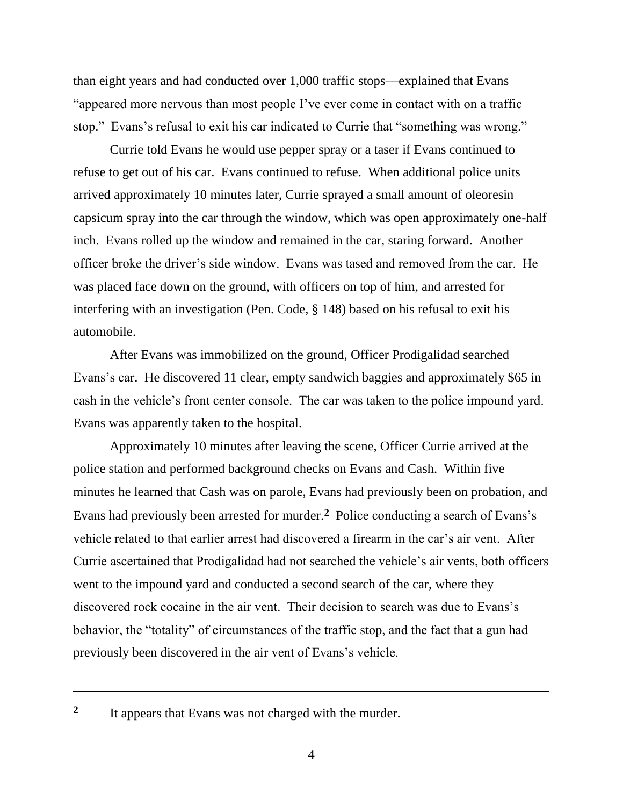than eight years and had conducted over 1,000 traffic stops––explained that Evans "appeared more nervous than most people I've ever come in contact with on a traffic stop." Evans's refusal to exit his car indicated to Currie that "something was wrong."

Currie told Evans he would use pepper spray or a taser if Evans continued to refuse to get out of his car. Evans continued to refuse. When additional police units arrived approximately 10 minutes later, Currie sprayed a small amount of oleoresin capsicum spray into the car through the window, which was open approximately one-half inch. Evans rolled up the window and remained in the car, staring forward. Another officer broke the driver's side window. Evans was tased and removed from the car. He was placed face down on the ground, with officers on top of him, and arrested for interfering with an investigation (Pen. Code, § 148) based on his refusal to exit his automobile.

After Evans was immobilized on the ground, Officer Prodigalidad searched Evans's car. He discovered 11 clear, empty sandwich baggies and approximately \$65 in cash in the vehicle's front center console. The car was taken to the police impound yard. Evans was apparently taken to the hospital.

Approximately 10 minutes after leaving the scene, Officer Currie arrived at the police station and performed background checks on Evans and Cash. Within five minutes he learned that Cash was on parole, Evans had previously been on probation, and Evans had previously been arrested for murder.**<sup>2</sup>** Police conducting a search of Evans's vehicle related to that earlier arrest had discovered a firearm in the car's air vent. After Currie ascertained that Prodigalidad had not searched the vehicle's air vents, both officers went to the impound yard and conducted a second search of the car, where they discovered rock cocaine in the air vent. Their decision to search was due to Evans's behavior, the "totality" of circumstances of the traffic stop, and the fact that a gun had previously been discovered in the air vent of Evans's vehicle.

**<sup>2</sup>** It appears that Evans was not charged with the murder.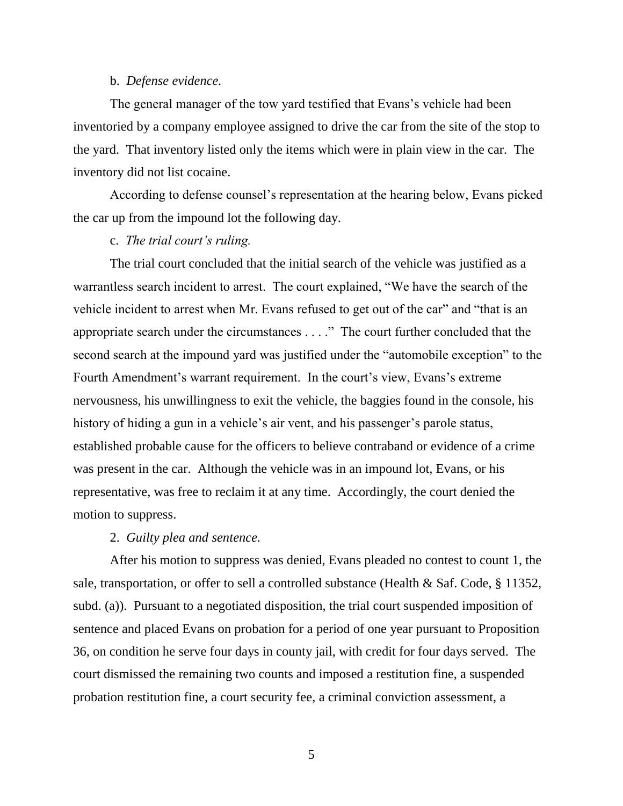## b. *Defense evidence.*

The general manager of the tow yard testified that Evans's vehicle had been inventoried by a company employee assigned to drive the car from the site of the stop to the yard. That inventory listed only the items which were in plain view in the car. The inventory did not list cocaine.

According to defense counsel's representation at the hearing below, Evans picked the car up from the impound lot the following day.

# c. *The trial court's ruling.*

The trial court concluded that the initial search of the vehicle was justified as a warrantless search incident to arrest. The court explained, "We have the search of the vehicle incident to arrest when Mr. Evans refused to get out of the car" and "that is an appropriate search under the circumstances  $\dots$ ." The court further concluded that the second search at the impound yard was justified under the "automobile exception" to the Fourth Amendment's warrant requirement. In the court's view, Evans's extreme nervousness, his unwillingness to exit the vehicle, the baggies found in the console, his history of hiding a gun in a vehicle's air vent, and his passenger's parole status, established probable cause for the officers to believe contraband or evidence of a crime was present in the car. Although the vehicle was in an impound lot, Evans, or his representative, was free to reclaim it at any time. Accordingly, the court denied the motion to suppress.

## 2. *Guilty plea and sentence.*

After his motion to suppress was denied, Evans pleaded no contest to count 1, the sale, transportation, or offer to sell a controlled substance (Health & Saf. Code, § 11352, subd. (a)). Pursuant to a negotiated disposition, the trial court suspended imposition of sentence and placed Evans on probation for a period of one year pursuant to Proposition 36, on condition he serve four days in county jail, with credit for four days served. The court dismissed the remaining two counts and imposed a restitution fine, a suspended probation restitution fine, a court security fee, a criminal conviction assessment, a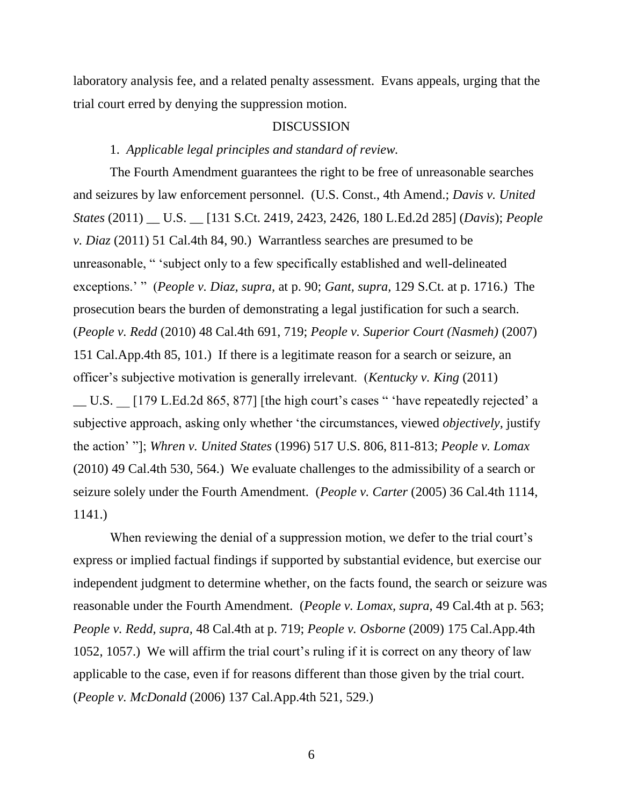laboratory analysis fee, and a related penalty assessment. Evans appeals, urging that the trial court erred by denying the suppression motion.

### DISCUSSION

# 1. *Applicable legal principles and standard of review.*

The Fourth Amendment guarantees the right to be free of unreasonable searches and seizures by law enforcement personnel. (U.S. Const., 4th Amend.; *Davis v. United States* (2011) \_\_ U.S. \_\_ [131 S.Ct. 2419, 2423, 2426, 180 L.Ed.2d 285] (*Davis*); *People v. Diaz* (2011) 51 Cal.4th 84, 90.) Warrantless searches are presumed to be unreasonable, "subject only to a few specifically established and well-delineated exceptions.' " *(People v. Diaz, supra, at p. 90; Gant, supra, 129 S.Ct. at p. 1716.)* The prosecution bears the burden of demonstrating a legal justification for such a search. (*People v. Redd* (2010) 48 Cal.4th 691, 719; *People v. Superior Court (Nasmeh)* (2007) 151 Cal.App.4th 85, 101.) If there is a legitimate reason for a search or seizure, an officer's subjective motivation is generally irrelevant. (*Kentucky v. King* (2011)

 $\Box$  U.S.  $\Box$  [179 L.Ed.2d 865, 877] [the high court's cases " 'have repeatedly rejected' a subjective approach, asking only whether 'the circumstances, viewed *objectively*, justify the action' ‖]; *Whren v. United States* (1996) 517 U.S. 806, 811-813; *People v. Lomax*  (2010) 49 Cal.4th 530, 564.) We evaluate challenges to the admissibility of a search or seizure solely under the Fourth Amendment. (*People v. Carter* (2005) 36 Cal.4th 1114, 1141.)

When reviewing the denial of a suppression motion, we defer to the trial court's express or implied factual findings if supported by substantial evidence, but exercise our independent judgment to determine whether, on the facts found, the search or seizure was reasonable under the Fourth Amendment. (*People v. Lomax, supra,* 49 Cal.4th at p. 563; *People v. Redd, supra,* 48 Cal.4th at p. 719; *People v. Osborne* (2009) 175 Cal.App.4th 1052, 1057.) We will affirm the trial court's ruling if it is correct on any theory of law applicable to the case, even if for reasons different than those given by the trial court. (*People v. McDonald* (2006) 137 Cal.App.4th 521, 529.)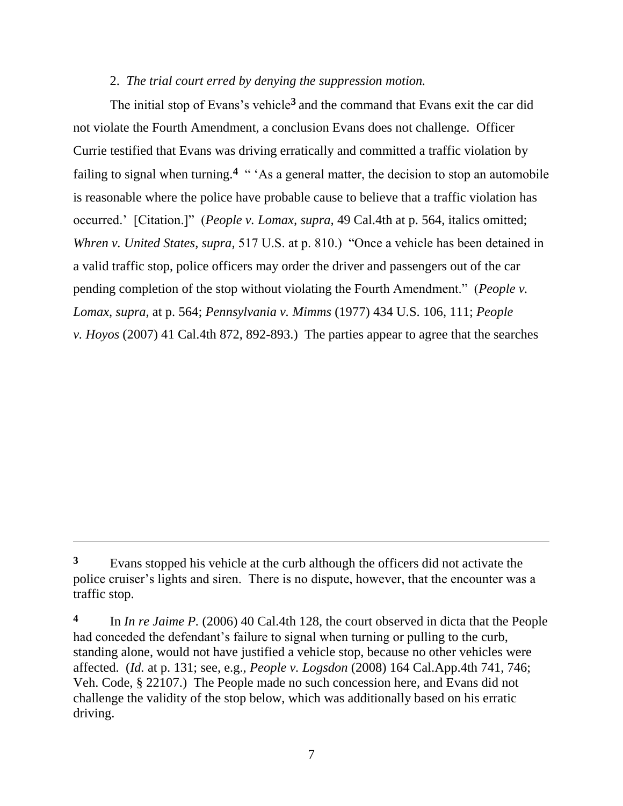# 2. *The trial court erred by denying the suppression motion.*

The initial stop of Evans's vehicle**<sup>3</sup>** and the command that Evans exit the car did not violate the Fourth Amendment, a conclusion Evans does not challenge. Officer Currie testified that Evans was driving erratically and committed a traffic violation by failing to signal when turning.<sup>4</sup> "As a general matter, the decision to stop an automobile is reasonable where the police have probable cause to believe that a traffic violation has occurred.' [Citation.]" (*People v. Lomax, supra,* 49 Cal.4th at p. 564, italics omitted; *Whren v. United States, supra,* 517 U.S. at p. 810.) 
"Once a vehicle has been detained in a valid traffic stop, police officers may order the driver and passengers out of the car pending completion of the stop without violating the Fourth Amendment." (*People v. Lomax, supra,* at p. 564; *Pennsylvania v. Mimms* (1977) 434 U.S. 106, 111; *People v. Hoyos* (2007) 41 Cal.4th 872, 892-893.) The parties appear to agree that the searches

**<sup>3</sup>** Evans stopped his vehicle at the curb although the officers did not activate the police cruiser's lights and siren. There is no dispute, however, that the encounter was a traffic stop.

**<sup>4</sup>** In *In re Jaime P.* (2006) 40 Cal.4th 128, the court observed in dicta that the People had conceded the defendant's failure to signal when turning or pulling to the curb, standing alone, would not have justified a vehicle stop, because no other vehicles were affected. (*Id.* at p. 131; see, e.g., *People v. Logsdon* (2008) 164 Cal.App.4th 741, 746; Veh. Code, § 22107.) The People made no such concession here, and Evans did not challenge the validity of the stop below, which was additionally based on his erratic driving.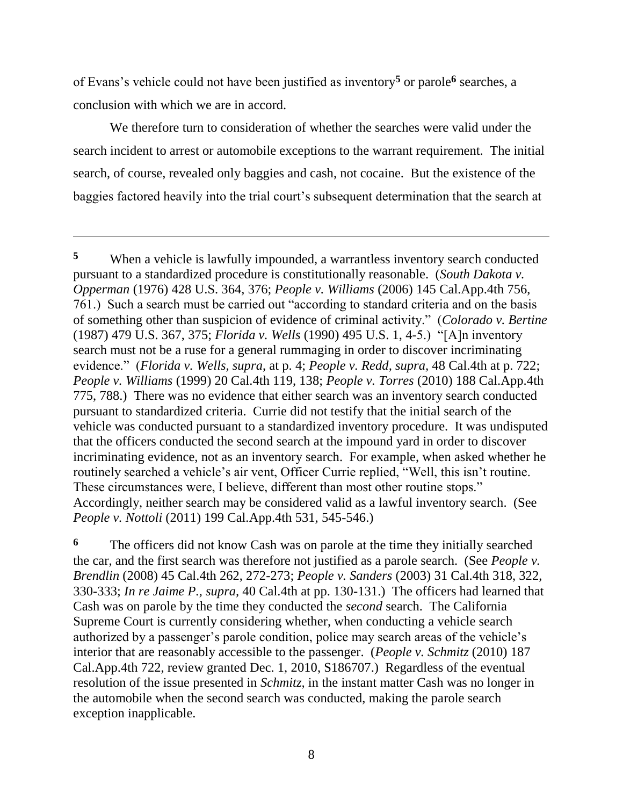of Evans's vehicle could not have been justified as inventory**<sup>5</sup>** or parole**<sup>6</sup>** searches, a conclusion with which we are in accord.

 $\overline{a}$ 

We therefore turn to consideration of whether the searches were valid under the search incident to arrest or automobile exceptions to the warrant requirement. The initial search, of course, revealed only baggies and cash, not cocaine. But the existence of the baggies factored heavily into the trial court's subsequent determination that the search at

**<sup>6</sup>** The officers did not know Cash was on parole at the time they initially searched the car, and the first search was therefore not justified as a parole search. (See *People v. Brendlin* (2008) 45 Cal.4th 262, 272-273; *People v. Sanders* (2003) 31 Cal.4th 318, 322, 330-333; *In re Jaime P., supra,* 40 Cal.4th at pp. 130-131.) The officers had learned that Cash was on parole by the time they conducted the *second* search. The California Supreme Court is currently considering whether, when conducting a vehicle search authorized by a passenger's parole condition, police may search areas of the vehicle's interior that are reasonably accessible to the passenger. (*People v. Schmitz* (2010) 187 Cal.App.4th 722, review granted Dec. 1, 2010, S186707.) Regardless of the eventual resolution of the issue presented in *Schmitz,* in the instant matter Cash was no longer in the automobile when the second search was conducted, making the parole search exception inapplicable.

**<sup>5</sup>** When a vehicle is lawfully impounded, a warrantless inventory search conducted pursuant to a standardized procedure is constitutionally reasonable. (*South Dakota v. Opperman* (1976) 428 U.S. 364, 376; *People v. Williams* (2006) 145 Cal.App.4th 756, 761.) Such a search must be carried out "according to standard criteria and on the basis of something other than suspicion of evidence of criminal activity.‖ (*Colorado v. Bertine*  (1987) 479 U.S. 367, 375; *Florida v. Wells* (1990) 495 U.S. 1, 4-5.) ―[A]n inventory search must not be a ruse for a general rummaging in order to discover incriminating evidence.‖ (*Florida v. Wells, supra*, at p. 4; *People v. Redd, supra,* 48 Cal.4th at p. 722; *People v. Williams* (1999) 20 Cal.4th 119, 138; *People v. Torres* (2010) 188 Cal.App.4th 775, 788.) There was no evidence that either search was an inventory search conducted pursuant to standardized criteria. Currie did not testify that the initial search of the vehicle was conducted pursuant to a standardized inventory procedure. It was undisputed that the officers conducted the second search at the impound yard in order to discover incriminating evidence, not as an inventory search. For example, when asked whether he routinely searched a vehicle's air vent, Officer Currie replied, "Well, this isn't routine. These circumstances were, I believe, different than most other routine stops." Accordingly, neither search may be considered valid as a lawful inventory search. (See *People v. Nottoli* (2011) 199 Cal.App.4th 531, 545-546.)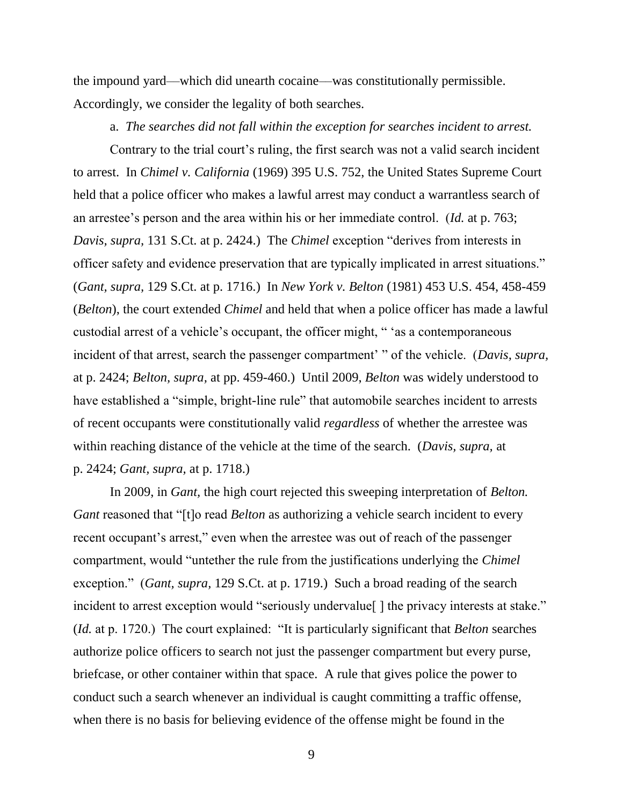the impound yard––which did unearth cocaine––was constitutionally permissible. Accordingly, we consider the legality of both searches.

a. *The searches did not fall within the exception for searches incident to arrest.*

Contrary to the trial court's ruling, the first search was not a valid search incident to arrest. In *Chimel v. California* (1969) 395 U.S. 752, the United States Supreme Court held that a police officer who makes a lawful arrest may conduct a warrantless search of an arrestee's person and the area within his or her immediate control. (*Id.* at p. 763; *Davis, supra,* 131 S.Ct. at p. 2424.) The *Chimel* exception "derives from interests in officer safety and evidence preservation that are typically implicated in arrest situations." (*Gant, supra,* 129 S.Ct. at p. 1716.) In *New York v. Belton* (1981) 453 U.S. 454, 458-459 (*Belton*), the court extended *Chimel* and held that when a police officer has made a lawful custodial arrest of a vehicle's occupant, the officer might, " 'as a contemporaneous incident of that arrest, search the passenger compartment' " of the vehicle. (*Davis, supra,* at p. 2424; *Belton, supra,* at pp. 459-460.) Until 2009, *Belton* was widely understood to have established a "simple, bright-line rule" that automobile searches incident to arrests of recent occupants were constitutionally valid *regardless* of whether the arrestee was within reaching distance of the vehicle at the time of the search. (*Davis, supra,* at p. 2424; *Gant, supra,* at p. 1718.)

In 2009, in *Gant,* the high court rejected this sweeping interpretation of *Belton. Gant* reasoned that "[t]o read *Belton* as authorizing a vehicle search incident to every recent occupant's arrest," even when the arrestee was out of reach of the passenger compartment, would "untether the rule from the justifications underlying the *Chimel* exception.‖ (*Gant, supra,* 129 S.Ct. at p. 1719.) Such a broad reading of the search incident to arrest exception would "seriously undervalue [] the privacy interests at stake." (*Id.* at p. 1720.) The court explained: "It is particularly significant that *Belton* searches authorize police officers to search not just the passenger compartment but every purse, briefcase, or other container within that space. A rule that gives police the power to conduct such a search whenever an individual is caught committing a traffic offense, when there is no basis for believing evidence of the offense might be found in the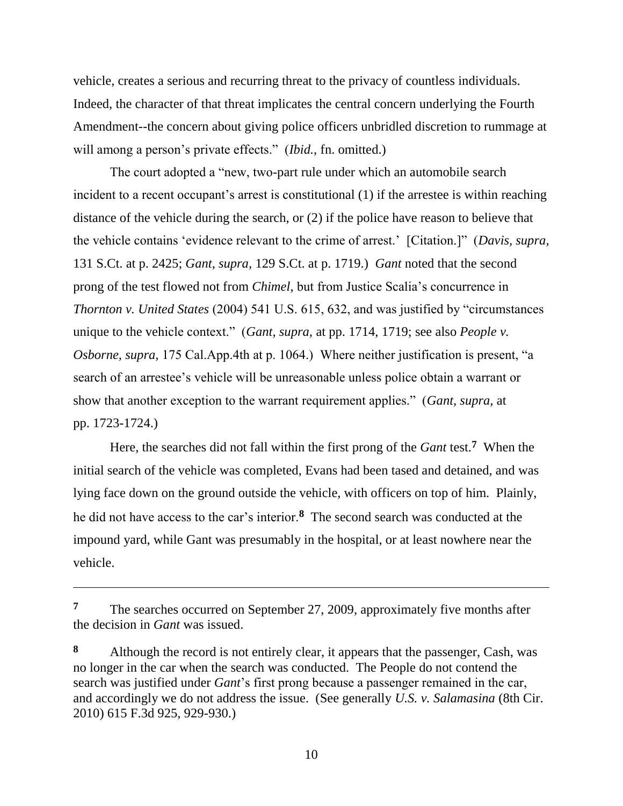vehicle, creates a serious and recurring threat to the privacy of countless individuals. Indeed, the character of that threat implicates the central concern underlying the Fourth Amendment--the concern about giving police officers unbridled discretion to rummage at will among a person's private effects." *(Ibid.*, fn. omitted.)

The court adopted a "new, two-part rule under which an automobile search incident to a recent occupant's arrest is constitutional (1) if the arrestee is within reaching distance of the vehicle during the search, or (2) if the police have reason to believe that the vehicle contains 'evidence relevant to the crime of arrest.' [Citation.]" (*Davis, supra,* 131 S.Ct. at p. 2425; *Gant, supra,* 129 S.Ct. at p. 1719.) *Gant* noted that the second prong of the test flowed not from *Chimel,* but from Justice Scalia's concurrence in *Thornton v. United States (2004) 541 U.S. 615, 632, and was justified by "circumstances* unique to the vehicle context." (*Gant, supra,* at pp. 1714, 1719; see also *People v. Osborne, supra,* 175 Cal.App.4th at p. 1064.) Where neither justification is present, "a search of an arrestee's vehicle will be unreasonable unless police obtain a warrant or show that another exception to the warrant requirement applies.‖ (*Gant, supra,* at pp. 1723-1724.)

Here, the searches did not fall within the first prong of the *Gant* test.**<sup>7</sup>** When the initial search of the vehicle was completed, Evans had been tased and detained, and was lying face down on the ground outside the vehicle, with officers on top of him. Plainly, he did not have access to the car's interior.**<sup>8</sup>** The second search was conducted at the impound yard, while Gant was presumably in the hospital, or at least nowhere near the vehicle.

<sup>&</sup>lt;sup>7</sup> The searches occurred on September 27, 2009, approximately five months after the decision in *Gant* was issued.

**<sup>8</sup>** Although the record is not entirely clear, it appears that the passenger, Cash, was no longer in the car when the search was conducted. The People do not contend the search was justified under *Gant*'s first prong because a passenger remained in the car, and accordingly we do not address the issue. (See generally *U.S. v. Salamasina* (8th Cir. 2010) 615 F.3d 925, 929-930.)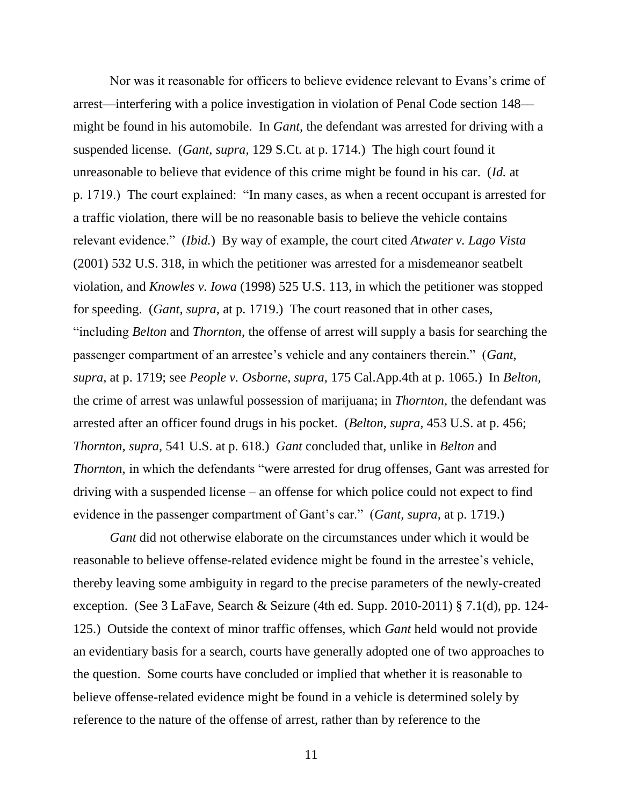Nor was it reasonable for officers to believe evidence relevant to Evans's crime of arrest––interfering with a police investigation in violation of Penal Code section 148–– might be found in his automobile. In *Gant,* the defendant was arrested for driving with a suspended license. (*Gant, supra,* 129 S.Ct. at p. 1714.) The high court found it unreasonable to believe that evidence of this crime might be found in his car. (*Id.* at p. 1719.) The court explained: "In many cases, as when a recent occupant is arrested for a traffic violation, there will be no reasonable basis to believe the vehicle contains relevant evidence.‖ (*Ibid.*) By way of example, the court cited *Atwater v. Lago Vista*  (2001) 532 U.S. 318, in which the petitioner was arrested for a misdemeanor seatbelt violation, and *Knowles v. Iowa* (1998) 525 U.S. 113, in which the petitioner was stopped for speeding. (*Gant, supra,* at p. 1719.) The court reasoned that in other cases, ―including *Belton* and *Thornton*, the offense of arrest will supply a basis for searching the passenger compartment of an arrestee's vehicle and any containers therein." (*Gant, supra,* at p. 1719; see *People v. Osborne, supra,* 175 Cal.App.4th at p. 1065.) In *Belton,*  the crime of arrest was unlawful possession of marijuana; in *Thornton,* the defendant was arrested after an officer found drugs in his pocket. (*Belton, supra,* 453 U.S. at p. 456; *Thornton, supra,* 541 U.S. at p. 618.) *Gant* concluded that, unlike in *Belton* and *Thornton*, in which the defendants "were arrested for drug offenses, Gant was arrested for driving with a suspended license – an offense for which police could not expect to find evidence in the passenger compartment of Gant's car." (*Gant, supra,* at p. 1719.)

*Gant* did not otherwise elaborate on the circumstances under which it would be reasonable to believe offense-related evidence might be found in the arrestee's vehicle, thereby leaving some ambiguity in regard to the precise parameters of the newly-created exception. (See 3 LaFave, Search & Seizure (4th ed. Supp. 2010-2011) § 7.1(d), pp. 124- 125.) Outside the context of minor traffic offenses, which *Gant* held would not provide an evidentiary basis for a search, courts have generally adopted one of two approaches to the question. Some courts have concluded or implied that whether it is reasonable to believe offense-related evidence might be found in a vehicle is determined solely by reference to the nature of the offense of arrest, rather than by reference to the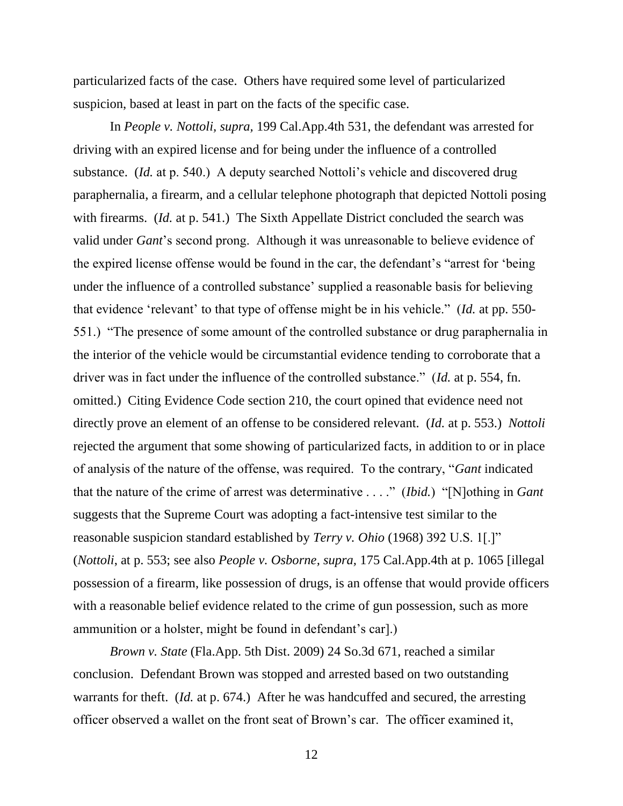particularized facts of the case. Others have required some level of particularized suspicion, based at least in part on the facts of the specific case.

In *People v. Nottoli, supra,* 199 Cal.App.4th 531, the defendant was arrested for driving with an expired license and for being under the influence of a controlled substance. (*Id.* at p. 540.) A deputy searched Nottoli's vehicle and discovered drug paraphernalia, a firearm, and a cellular telephone photograph that depicted Nottoli posing with firearms. (*Id.* at p. 541.) The Sixth Appellate District concluded the search was valid under *Gant*'s second prong. Although it was unreasonable to believe evidence of the expired license offense would be found in the car, the defendant's "arrest for 'being under the influence of a controlled substance' supplied a reasonable basis for believing that evidence 'relevant' to that type of offense might be in his vehicle." (*Id.* at pp. 550-551.) "The presence of some amount of the controlled substance or drug paraphernalia in the interior of the vehicle would be circumstantial evidence tending to corroborate that a driver was in fact under the influence of the controlled substance." (*Id.* at p. 554, fn. omitted.) Citing Evidence Code section 210, the court opined that evidence need not directly prove an element of an offense to be considered relevant. (*Id.* at p. 553.) *Nottoli*  rejected the argument that some showing of particularized facts, in addition to or in place of analysis of the nature of the offense, was required. To the contrary, "*Gant* indicated that the nature of the crime of arrest was determinative . . . ." *(Ibid.)* "[N]othing in *Gant* suggests that the Supreme Court was adopting a fact-intensive test similar to the reasonable suspicion standard established by *Terry v. Ohio* (1968) 392 U.S. 1[.]" (*Nottoli*, at p. 553; see also *People v. Osborne, supra,* 175 Cal.App.4th at p. 1065 [illegal possession of a firearm, like possession of drugs, is an offense that would provide officers with a reasonable belief evidence related to the crime of gun possession, such as more ammunition or a holster, might be found in defendant's car].)

*Brown v. State* (Fla.App. 5th Dist. 2009) 24 So.3d 671, reached a similar conclusion. Defendant Brown was stopped and arrested based on two outstanding warrants for theft. (*Id.* at p. 674.) After he was handcuffed and secured, the arresting officer observed a wallet on the front seat of Brown's car. The officer examined it,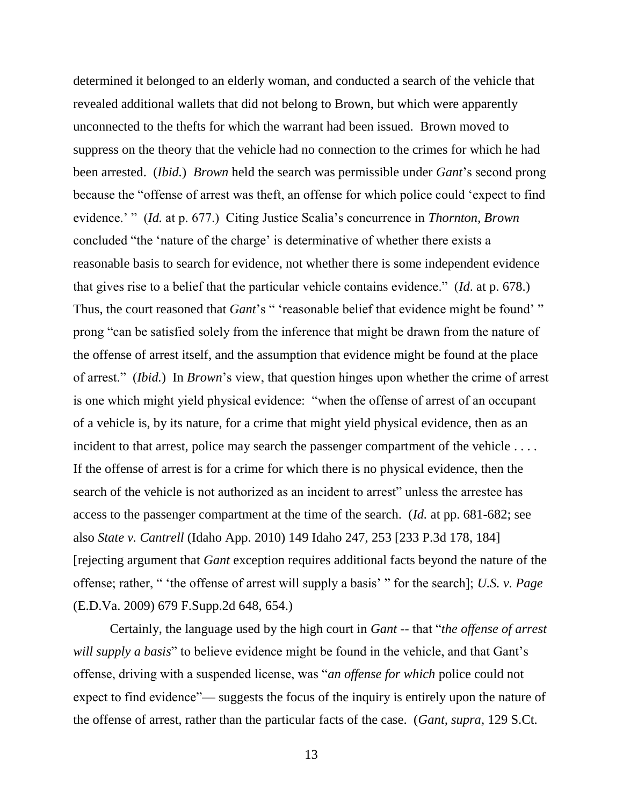determined it belonged to an elderly woman, and conducted a search of the vehicle that revealed additional wallets that did not belong to Brown, but which were apparently unconnected to the thefts for which the warrant had been issued. Brown moved to suppress on the theory that the vehicle had no connection to the crimes for which he had been arrested. (*Ibid.*) *Brown* held the search was permissible under *Gant*'s second prong because the "offense of arrest was theft, an offense for which police could 'expect to find evidence.' " *(Id. at p. 677.)* Citing Justice Scalia's concurrence in *Thornton, Brown* concluded "the 'nature of the charge' is determinative of whether there exists a reasonable basis to search for evidence, not whether there is some independent evidence that gives rise to a belief that the particular vehicle contains evidence.‖ (*Id*. at p. 678.) Thus, the court reasoned that *Gant*'s " 'reasonable belief that evidence might be found' " prong "can be satisfied solely from the inference that might be drawn from the nature of the offense of arrest itself, and the assumption that evidence might be found at the place of arrest.‖ (*Ibid.*) In *Brown*'s view, that question hinges upon whether the crime of arrest is one which might yield physical evidence: "when the offense of arrest of an occupant of a vehicle is, by its nature, for a crime that might yield physical evidence, then as an incident to that arrest, police may search the passenger compartment of the vehicle .... If the offense of arrest is for a crime for which there is no physical evidence, then the search of the vehicle is not authorized as an incident to arrest<sup>"</sup> unless the arrestee has access to the passenger compartment at the time of the search. (*Id.* at pp. 681-682; see also *State v. Cantrell* (Idaho App. 2010) 149 Idaho 247, 253 [233 P.3d 178, 184] [rejecting argument that *Gant* exception requires additional facts beyond the nature of the offense; rather, " 'the offense of arrest will supply a basis' " for the search]; *U.S. v. Page* (E.D.Va. 2009) 679 F.Supp.2d 648, 654.)

Certainly, the language used by the high court in *Gant --* that "*the offense of arrest will supply a basis*" to believe evidence might be found in the vehicle, and that Gant's offense, driving with a suspended license, was "*an offense for which* police could not expect to find evidence"— suggests the focus of the inquiry is entirely upon the nature of the offense of arrest, rather than the particular facts of the case. (*Gant, supra,* 129 S.Ct.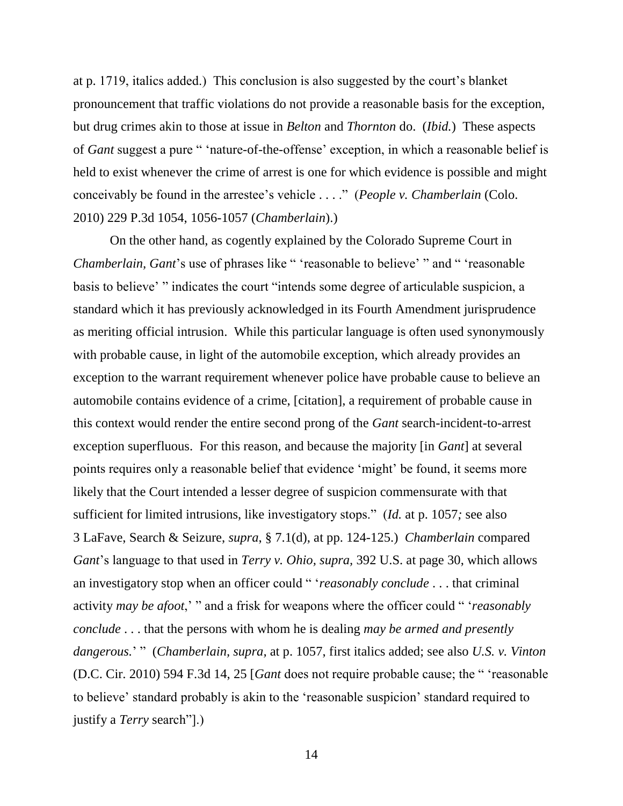at p. 1719, italics added.) This conclusion is also suggested by the court's blanket pronouncement that traffic violations do not provide a reasonable basis for the exception, but drug crimes akin to those at issue in *Belton* and *Thornton* do. (*Ibid.*) These aspects of *Gant* suggest a pure " 'nature-of-the-offense' exception, in which a reasonable belief is held to exist whenever the crime of arrest is one for which evidence is possible and might conceivably be found in the arrestee's vehicle . . . ." (*People v. Chamberlain* (Colo. 2010) 229 P.3d 1054, 1056-1057 (*Chamberlain*).)

On the other hand, as cogently explained by the Colorado Supreme Court in *Chamberlain, Gant's* use of phrases like " 'reasonable to believe' " and " 'reasonable basis to believe' "indicates the court "intends some degree of articulable suspicion, a standard which it has previously acknowledged in its Fourth Amendment jurisprudence as meriting official intrusion. While this particular language is often used synonymously with probable cause, in light of the automobile exception, which already provides an exception to the warrant requirement whenever police have probable cause to believe an automobile contains evidence of a crime, [citation], a requirement of probable cause in this context would render the entire second prong of the *Gant* search-incident-to-arrest exception superfluous. For this reason, and because the majority [in *Gant*] at several points requires only a reasonable belief that evidence 'might' be found, it seems more likely that the Court intended a lesser degree of suspicion commensurate with that sufficient for limited intrusions, like investigatory stops." (*Id.* at p. 1057; see also 3 LaFave, Search & Seizure, *supra*, § 7.1(d), at pp. 124-125.) *Chamberlain* compared *Gant*'s language to that used in *Terry v. Ohio, supra,* 392 U.S. at page 30, which allows an investigatory stop when an officer could "*'reasonably conclude* . . . that criminal activity *may be afoot*,' " and a frisk for weapons where the officer could " '*reasonably conclude* . . . that the persons with whom he is dealing *may be armed and presently*  dangerous.' " (Chamberlain, supra, at p. 1057, first italics added; see also *U.S. v. Vinton* (D.C. Cir. 2010) 594 F.3d 14, 25 [*Gant* does not require probable cause; the " 'reasonable' to believe' standard probably is akin to the 'reasonable suspicion' standard required to justify a *Terry* search"[.]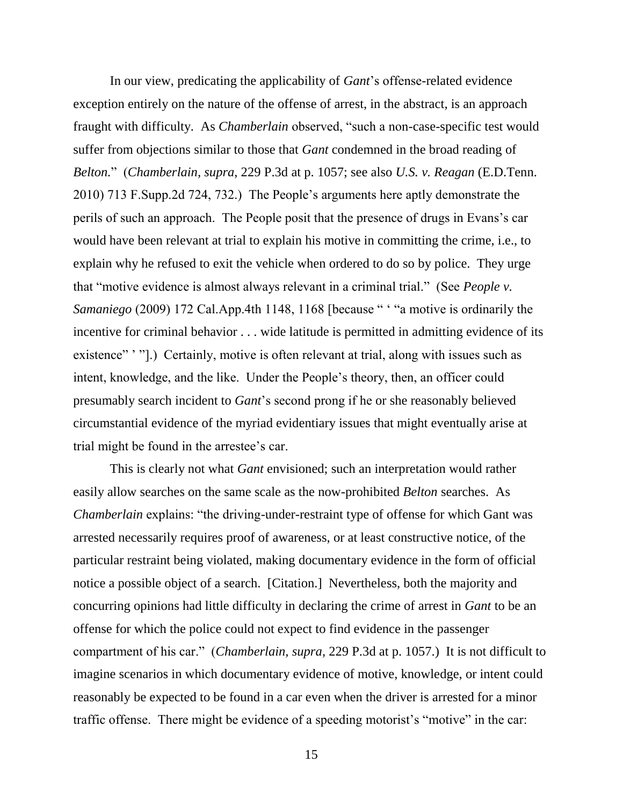In our view, predicating the applicability of *Gant*'s offense-related evidence exception entirely on the nature of the offense of arrest, in the abstract, is an approach fraught with difficulty. As *Chamberlain* observed, "such a non-case-specific test would suffer from objections similar to those that *Gant* condemned in the broad reading of *Belton.*‖ (*Chamberlain, supra*, 229 P.3d at p. 1057; see also *U.S. v. Reagan* (E.D.Tenn. 2010) 713 F.Supp.2d 724, 732.) The People's arguments here aptly demonstrate the perils of such an approach. The People posit that the presence of drugs in Evans's car would have been relevant at trial to explain his motive in committing the crime, i.e., to explain why he refused to exit the vehicle when ordered to do so by police. They urge that "motive evidence is almost always relevant in a criminal trial." (See *People v. Samaniego* (2009) 172 Cal.App.4th 1148, 1168 [because " ' "a motive is ordinarily the incentive for criminal behavior . . . wide latitude is permitted in admitting evidence of its existence" '".) Certainly, motive is often relevant at trial, along with issues such as intent, knowledge, and the like. Under the People's theory, then, an officer could presumably search incident to *Gant*'s second prong if he or she reasonably believed circumstantial evidence of the myriad evidentiary issues that might eventually arise at trial might be found in the arrestee's car.

This is clearly not what *Gant* envisioned; such an interpretation would rather easily allow searches on the same scale as the now-prohibited *Belton* searches. As *Chamberlain explains:* "the driving-under-restraint type of offense for which Gant was arrested necessarily requires proof of awareness, or at least constructive notice, of the particular restraint being violated, making documentary evidence in the form of official notice a possible object of a search. [Citation.] Nevertheless, both the majority and concurring opinions had little difficulty in declaring the crime of arrest in *Gant* to be an offense for which the police could not expect to find evidence in the passenger compartment of his car.‖ (*Chamberlain, supra,* 229 P.3d at p. 1057.) It is not difficult to imagine scenarios in which documentary evidence of motive, knowledge, or intent could reasonably be expected to be found in a car even when the driver is arrested for a minor traffic offense. There might be evidence of a speeding motorist's "motive" in the car: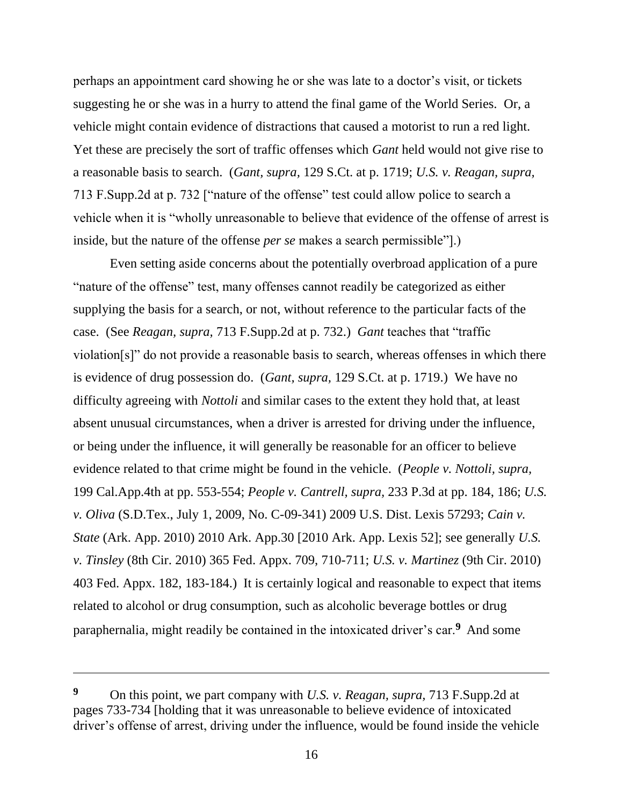perhaps an appointment card showing he or she was late to a doctor's visit, or tickets suggesting he or she was in a hurry to attend the final game of the World Series. Or, a vehicle might contain evidence of distractions that caused a motorist to run a red light. Yet these are precisely the sort of traffic offenses which *Gant* held would not give rise to a reasonable basis to search. (*Gant, supra,* 129 S.Ct. at p. 1719; *U.S. v. Reagan, supra,*  713 F.Supp.2d at p. 732 ["nature of the offense" test could allow police to search a vehicle when it is "wholly unreasonable to believe that evidence of the offense of arrest is inside, but the nature of the offense *per se* makes a search permissible".)

Even setting aside concerns about the potentially overbroad application of a pure "nature of the offense" test, many offenses cannot readily be categorized as either supplying the basis for a search, or not, without reference to the particular facts of the case. (See *Reagan, supra,* 713 F.Supp.2d at p. 732.) *Gant* teaches that "traffic violation[s]" do not provide a reasonable basis to search, whereas offenses in which there is evidence of drug possession do. (*Gant, supra,* 129 S.Ct. at p. 1719.) We have no difficulty agreeing with *Nottoli* and similar cases to the extent they hold that, at least absent unusual circumstances, when a driver is arrested for driving under the influence, or being under the influence, it will generally be reasonable for an officer to believe evidence related to that crime might be found in the vehicle. (*People v. Nottoli, supra,*  199 Cal.App.4th at pp. 553-554; *People v. Cantrell, supra,* 233 P.3d at pp. 184, 186; *U.S. v. Oliva* (S.D.Tex., July 1, 2009, No. C-09-341) 2009 U.S. Dist. Lexis 57293; *Cain v. State* (Ark. App. 2010) 2010 Ark. App.30 [2010 Ark. App. Lexis 52]; see generally *U.S. v. Tinsley* (8th Cir. 2010) 365 Fed. Appx. 709, 710-711; *U.S. v. Martinez* (9th Cir. 2010) 403 Fed. Appx. 182, 183-184.) It is certainly logical and reasonable to expect that items related to alcohol or drug consumption, such as alcoholic beverage bottles or drug paraphernalia, might readily be contained in the intoxicated driver's car.**<sup>9</sup>** And some

**<sup>9</sup>** On this point, we part company with *U.S. v. Reagan, supra,* 713 F.Supp.2d at pages 733-734 [holding that it was unreasonable to believe evidence of intoxicated driver's offense of arrest, driving under the influence, would be found inside the vehicle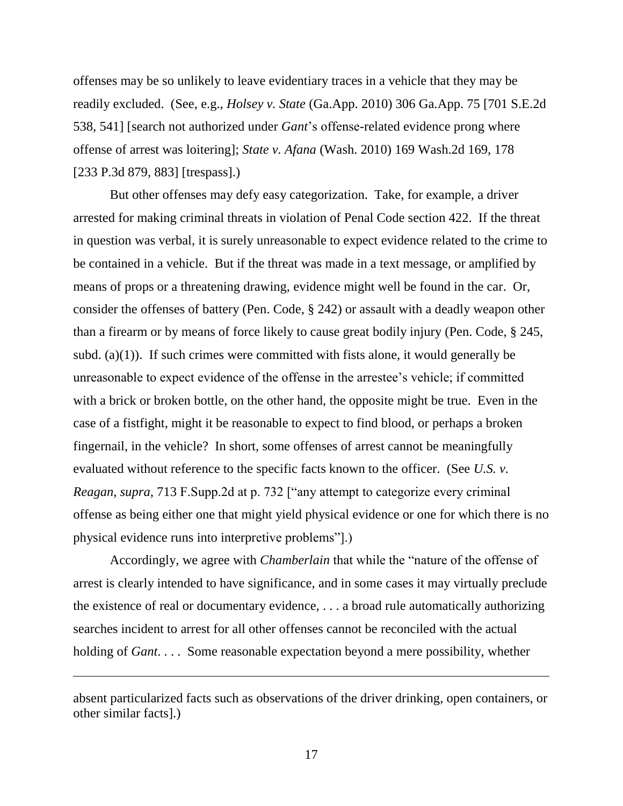offenses may be so unlikely to leave evidentiary traces in a vehicle that they may be readily excluded. (See, e.g., *Holsey v. State* (Ga.App. 2010) 306 Ga.App. 75 [701 S.E.2d 538, 541] [search not authorized under *Gant*'s offense-related evidence prong where offense of arrest was loitering]; *State v. Afana* (Wash. 2010) 169 Wash.2d 169, 178 [233 P.3d 879, 883] [trespass].)

But other offenses may defy easy categorization. Take, for example, a driver arrested for making criminal threats in violation of Penal Code section 422. If the threat in question was verbal, it is surely unreasonable to expect evidence related to the crime to be contained in a vehicle. But if the threat was made in a text message, or amplified by means of props or a threatening drawing, evidence might well be found in the car. Or, consider the offenses of battery (Pen. Code, § 242) or assault with a deadly weapon other than a firearm or by means of force likely to cause great bodily injury (Pen. Code, § 245, subd. (a) $(1)$ ). If such crimes were committed with fists alone, it would generally be unreasonable to expect evidence of the offense in the arrestee's vehicle; if committed with a brick or broken bottle, on the other hand, the opposite might be true. Even in the case of a fistfight, might it be reasonable to expect to find blood, or perhaps a broken fingernail, in the vehicle? In short, some offenses of arrest cannot be meaningfully evaluated without reference to the specific facts known to the officer. (See *U.S. v. Reagan, supra,* 713 F.Supp.2d at p. 732 ["any attempt to categorize every criminal offense as being either one that might yield physical evidence or one for which there is no physical evidence runs into interpretive problems‖].)

Accordingly, we agree with *Chamberlain* that while the "nature of the offense of arrest is clearly intended to have significance, and in some cases it may virtually preclude the existence of real or documentary evidence, . . . a broad rule automatically authorizing searches incident to arrest for all other offenses cannot be reconciled with the actual holding of *Gant*. . . . Some reasonable expectation beyond a mere possibility, whether

absent particularized facts such as observations of the driver drinking, open containers, or other similar facts].)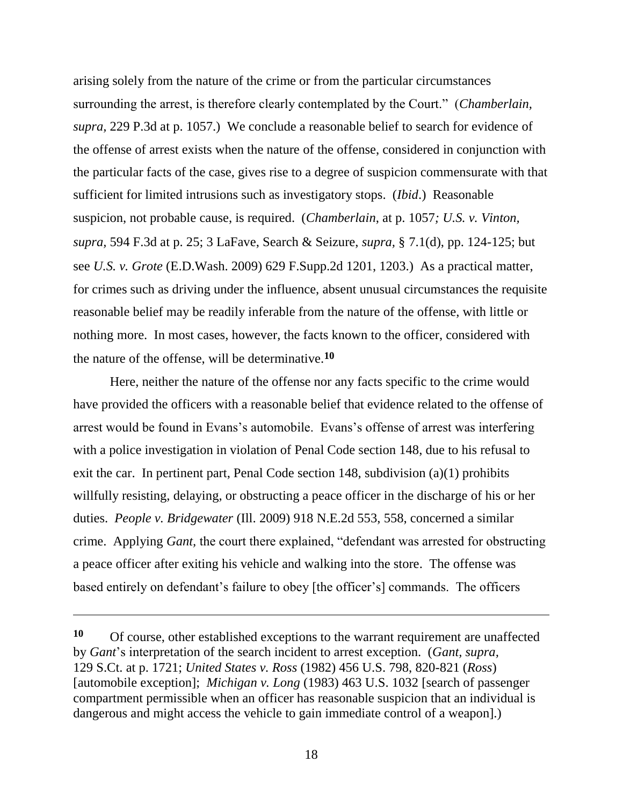arising solely from the nature of the crime or from the particular circumstances surrounding the arrest, is therefore clearly contemplated by the Court." (*Chamberlain*, *supra,* 229 P.3d at p. 1057.) We conclude a reasonable belief to search for evidence of the offense of arrest exists when the nature of the offense, considered in conjunction with the particular facts of the case, gives rise to a degree of suspicion commensurate with that sufficient for limited intrusions such as investigatory stops. (*Ibid*.) Reasonable suspicion, not probable cause, is required. (*Chamberlain*, at p. 1057*; U.S. v. Vinton, supra,* 594 F.3d at p. 25; 3 LaFave, Search & Seizure, *supra,* § 7.1(d), pp. 124-125; but see *U.S. v. Grote* (E.D.Wash. 2009) 629 F.Supp.2d 1201, 1203.) As a practical matter, for crimes such as driving under the influence, absent unusual circumstances the requisite reasonable belief may be readily inferable from the nature of the offense, with little or nothing more. In most cases, however, the facts known to the officer, considered with the nature of the offense, will be determinative.**<sup>10</sup>**

Here, neither the nature of the offense nor any facts specific to the crime would have provided the officers with a reasonable belief that evidence related to the offense of arrest would be found in Evans's automobile. Evans's offense of arrest was interfering with a police investigation in violation of Penal Code section 148, due to his refusal to exit the car. In pertinent part, Penal Code section 148, subdivision (a)(1) prohibits willfully resisting, delaying, or obstructing a peace officer in the discharge of his or her duties. *People v. Bridgewater* (Ill. 2009) 918 N.E.2d 553, 558, concerned a similar crime. Applying *Gant*, the court there explained, "defendant was arrested for obstructing a peace officer after exiting his vehicle and walking into the store. The offense was based entirely on defendant's failure to obey [the officer's] commands. The officers

**<sup>10</sup>** Of course, other established exceptions to the warrant requirement are unaffected by *Gant*'s interpretation of the search incident to arrest exception. (*Gant, supra,*  129 S.Ct. at p. 1721; *United States v. Ross* (1982) 456 U.S. 798, 820-821 (*Ross*) [automobile exception]; *Michigan v. Long* (1983) 463 U.S. 1032 [search of passenger compartment permissible when an officer has reasonable suspicion that an individual is dangerous and might access the vehicle to gain immediate control of a weapon].)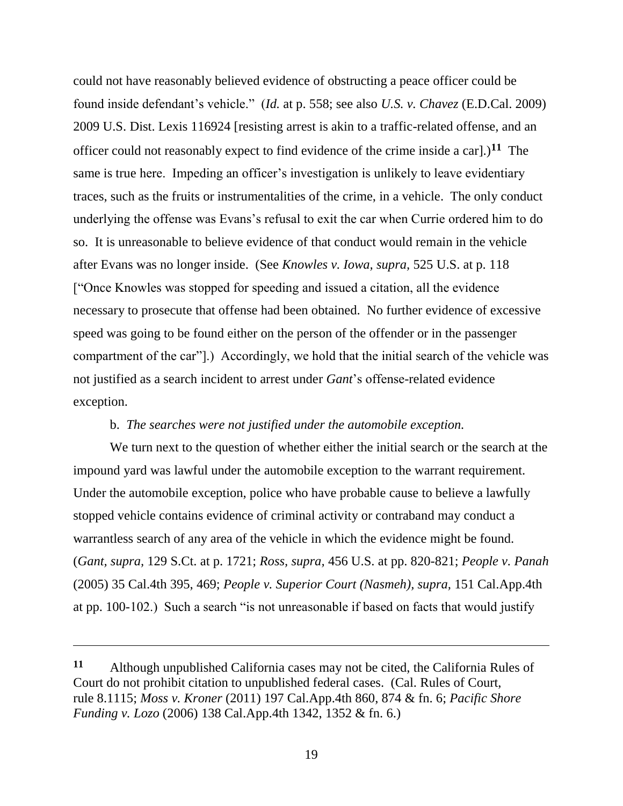could not have reasonably believed evidence of obstructing a peace officer could be found inside defendant's vehicle.‖ (*Id.* at p. 558; see also *U.S. v. Chavez* (E.D.Cal. 2009) 2009 U.S. Dist. Lexis 116924 [resisting arrest is akin to a traffic-related offense, and an officer could not reasonably expect to find evidence of the crime inside a car].)**<sup>11</sup>** The same is true here. Impeding an officer's investigation is unlikely to leave evidentiary traces, such as the fruits or instrumentalities of the crime, in a vehicle. The only conduct underlying the offense was Evans's refusal to exit the car when Currie ordered him to do so. It is unreasonable to believe evidence of that conduct would remain in the vehicle after Evans was no longer inside. (See *Knowles v. Iowa, supra,* 525 U.S. at p. 118 ["Once Knowles was stopped for speeding and issued a citation, all the evidence necessary to prosecute that offense had been obtained. No further evidence of excessive speed was going to be found either on the person of the offender or in the passenger compartment of the car".) Accordingly, we hold that the initial search of the vehicle was not justified as a search incident to arrest under *Gant*'s offense-related evidence exception.

## b. *The searches were not justified under the automobile exception.*

We turn next to the question of whether either the initial search or the search at the impound yard was lawful under the automobile exception to the warrant requirement. Under the automobile exception, police who have probable cause to believe a lawfully stopped vehicle contains evidence of criminal activity or contraband may conduct a warrantless search of any area of the vehicle in which the evidence might be found. (*Gant, supra,* 129 S.Ct. at p. 1721; *Ross, supra,* 456 U.S. at pp. 820-821; *People v. Panah*  (2005) 35 Cal.4th 395, 469; *People v. Superior Court (Nasmeh), supra,* 151 Cal.App.4th at pp. 100-102.) Such a search "is not unreasonable if based on facts that would justify

**<sup>11</sup>** Although unpublished California cases may not be cited, the California Rules of Court do not prohibit citation to unpublished federal cases. (Cal. Rules of Court, rule 8.1115; *Moss v. Kroner* (2011) 197 Cal.App.4th 860, 874 & fn. 6; *Pacific Shore Funding v. Lozo* (2006) 138 Cal.App.4th 1342, 1352 & fn. 6.)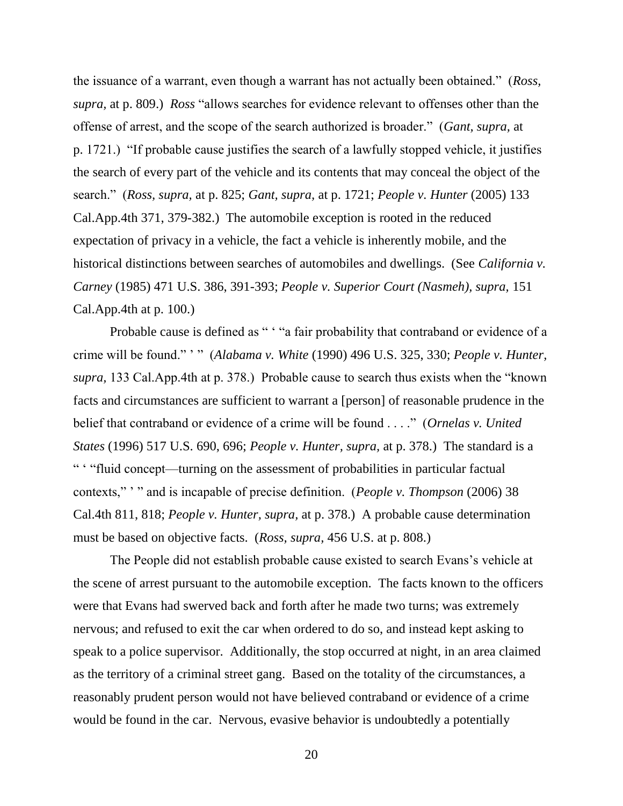the issuance of a warrant, even though a warrant has not actually been obtained." (*Ross*, *supra,* at p. 809.) *Ross* "allows searches for evidence relevant to offenses other than the offense of arrest, and the scope of the search authorized is broader.‖ (*Gant, supra,* at p. 1721.) "If probable cause justifies the search of a lawfully stopped vehicle, it justifies the search of every part of the vehicle and its contents that may conceal the object of the search.‖ (*Ross, supra,* at p. 825; *Gant, supra,* at p. 1721; *People v. Hunter* (2005) 133 Cal.App.4th 371, 379-382.) The automobile exception is rooted in the reduced expectation of privacy in a vehicle, the fact a vehicle is inherently mobile, and the historical distinctions between searches of automobiles and dwellings. (See *California v. Carney* (1985) 471 U.S. 386, 391-393; *People v. Superior Court (Nasmeh), supra,* 151 Cal.App.4th at p. 100.)

Probable cause is defined as " ' "a fair probability that contraband or evidence of a crime will be found."'" (*Alabama v. White* (1990) 496 U.S. 325, 330; *People v. Hunter, supra*, 133 Cal.App.4th at p. 378.) Probable cause to search thus exists when the "known" facts and circumstances are sufficient to warrant a [person] of reasonable prudence in the belief that contraband or evidence of a crime will be found . . . ." (*Ornelas v. United States* (1996) 517 U.S. 690, 696; *People v. Hunter, supra,* at p. 378.) The standard is a ― ‗ ―fluid concept—turning on the assessment of probabilities in particular factual contexts," " and is incapable of precise definition. (*People v. Thompson* (2006) 38 Cal.4th 811, 818; *People v. Hunter, supra,* at p. 378.) A probable cause determination must be based on objective facts. (*Ross, supra,* 456 U.S. at p. 808.)

The People did not establish probable cause existed to search Evans's vehicle at the scene of arrest pursuant to the automobile exception. The facts known to the officers were that Evans had swerved back and forth after he made two turns; was extremely nervous; and refused to exit the car when ordered to do so, and instead kept asking to speak to a police supervisor. Additionally, the stop occurred at night, in an area claimed as the territory of a criminal street gang. Based on the totality of the circumstances, a reasonably prudent person would not have believed contraband or evidence of a crime would be found in the car. Nervous, evasive behavior is undoubtedly a potentially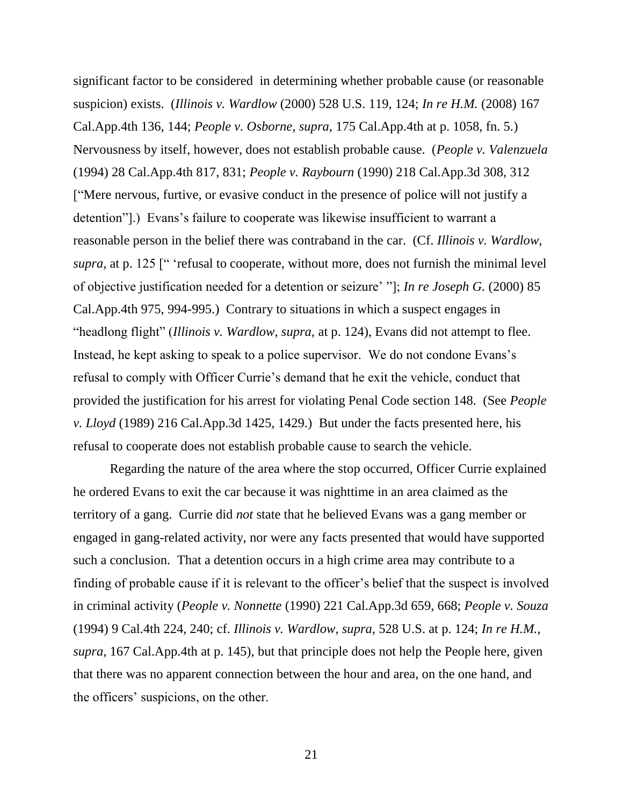significant factor to be considered in determining whether probable cause (or reasonable suspicion) exists. (*Illinois v. Wardlow* (2000) 528 U.S. 119, 124; *In re H.M.* (2008) 167 Cal.App.4th 136, 144; *People v. Osborne, supra,* 175 Cal.App.4th at p. 1058, fn. 5.) Nervousness by itself, however, does not establish probable cause. (*People v. Valenzuela*  (1994) 28 Cal.App.4th 817, 831; *People v. Raybourn* (1990) 218 Cal.App.3d 308, 312 [―Mere nervous, furtive, or evasive conduct in the presence of police will not justify a detention".) Evans's failure to cooperate was likewise insufficient to warrant a reasonable person in the belief there was contraband in the car. (Cf. *Illinois v. Wardlow, supra*, at p. 125 [" 'refusal to cooperate, without more, does not furnish the minimal level of objective justification needed for a detention or seizure' ‖]; *In re Joseph G.* (2000) 85 Cal.App.4th 975, 994-995.) Contrary to situations in which a suspect engages in "headlong flight" *(Illinois v. Wardlow, supra, at p. 124)*, Evans did not attempt to flee. Instead, he kept asking to speak to a police supervisor. We do not condone Evans's refusal to comply with Officer Currie's demand that he exit the vehicle, conduct that provided the justification for his arrest for violating Penal Code section 148. (See *People v. Lloyd* (1989) 216 Cal.App.3d 1425, 1429.) But under the facts presented here, his refusal to cooperate does not establish probable cause to search the vehicle.

Regarding the nature of the area where the stop occurred, Officer Currie explained he ordered Evans to exit the car because it was nighttime in an area claimed as the territory of a gang. Currie did *not* state that he believed Evans was a gang member or engaged in gang-related activity, nor were any facts presented that would have supported such a conclusion. That a detention occurs in a high crime area may contribute to a finding of probable cause if it is relevant to the officer's belief that the suspect is involved in criminal activity (*People v. Nonnette* (1990) 221 Cal.App.3d 659, 668; *People v. Souza*  (1994) 9 Cal.4th 224, 240; cf. *Illinois v. Wardlow, supra,* 528 U.S. at p. 124; *In re H.M., supra,* 167 Cal.App.4th at p. 145), but that principle does not help the People here, given that there was no apparent connection between the hour and area, on the one hand, and the officers' suspicions, on the other.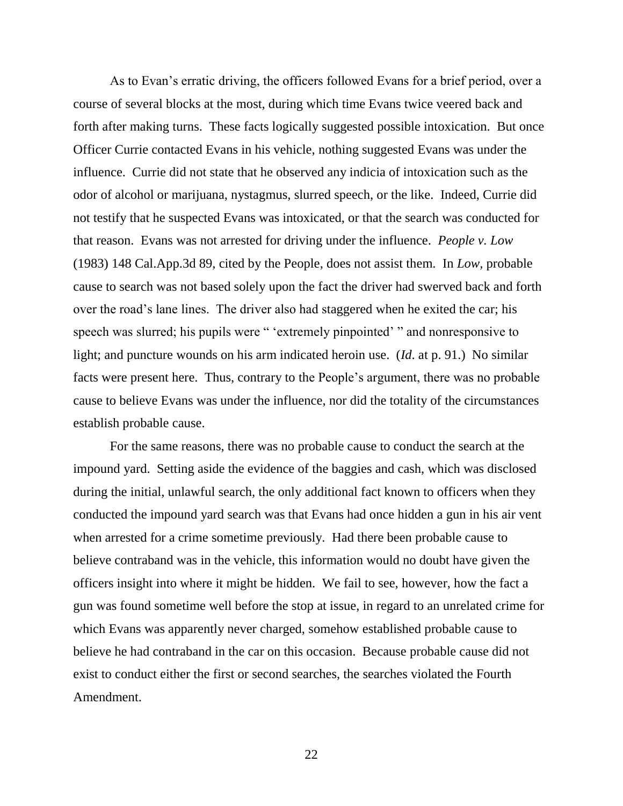As to Evan's erratic driving, the officers followed Evans for a brief period, over a course of several blocks at the most, during which time Evans twice veered back and forth after making turns. These facts logically suggested possible intoxication. But once Officer Currie contacted Evans in his vehicle, nothing suggested Evans was under the influence. Currie did not state that he observed any indicia of intoxication such as the odor of alcohol or marijuana, nystagmus, slurred speech, or the like. Indeed, Currie did not testify that he suspected Evans was intoxicated, or that the search was conducted for that reason. Evans was not arrested for driving under the influence. *People v. Low*  (1983) 148 Cal.App.3d 89, cited by the People, does not assist them. In *Low,* probable cause to search was not based solely upon the fact the driver had swerved back and forth over the road's lane lines. The driver also had staggered when he exited the car; his speech was slurred; his pupils were " 'extremely pinpointed' " and nonresponsive to light; and puncture wounds on his arm indicated heroin use. (*Id*. at p. 91.) No similar facts were present here. Thus, contrary to the People's argument, there was no probable cause to believe Evans was under the influence, nor did the totality of the circumstances establish probable cause.

For the same reasons, there was no probable cause to conduct the search at the impound yard. Setting aside the evidence of the baggies and cash, which was disclosed during the initial, unlawful search, the only additional fact known to officers when they conducted the impound yard search was that Evans had once hidden a gun in his air vent when arrested for a crime sometime previously. Had there been probable cause to believe contraband was in the vehicle, this information would no doubt have given the officers insight into where it might be hidden. We fail to see, however, how the fact a gun was found sometime well before the stop at issue, in regard to an unrelated crime for which Evans was apparently never charged, somehow established probable cause to believe he had contraband in the car on this occasion. Because probable cause did not exist to conduct either the first or second searches, the searches violated the Fourth Amendment.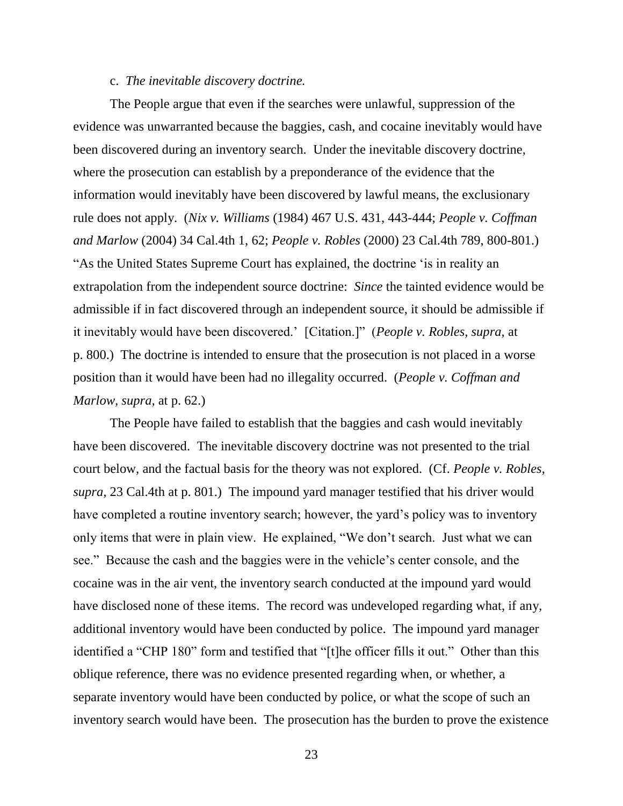## c. *The inevitable discovery doctrine.*

The People argue that even if the searches were unlawful, suppression of the evidence was unwarranted because the baggies, cash, and cocaine inevitably would have been discovered during an inventory search. Under the inevitable discovery doctrine, where the prosecution can establish by a preponderance of the evidence that the information would inevitably have been discovered by lawful means, the exclusionary rule does not apply. (*Nix v. Williams* (1984) 467 U.S. 431, 443-444; *People v. Coffman and Marlow* (2004) 34 Cal.4th 1, 62; *People v. Robles* (2000) 23 Cal.4th 789, 800-801.) "As the United States Supreme Court has explained, the doctrine 'is in reality an extrapolation from the independent source doctrine: *Since* the tainted evidence would be admissible if in fact discovered through an independent source, it should be admissible if it inevitably would have been discovered.' [Citation.]" (*People v. Robles, supra, at* p. 800.) The doctrine is intended to ensure that the prosecution is not placed in a worse position than it would have been had no illegality occurred. (*People v. Coffman and Marlow, supra,* at p. 62.)

The People have failed to establish that the baggies and cash would inevitably have been discovered. The inevitable discovery doctrine was not presented to the trial court below, and the factual basis for the theory was not explored. (Cf. *People v. Robles, supra,* 23 Cal.4th at p. 801.) The impound yard manager testified that his driver would have completed a routine inventory search; however, the yard's policy was to inventory only items that were in plain view. He explained, "We don't search. Just what we can see." Because the cash and the baggies were in the vehicle's center console, and the cocaine was in the air vent, the inventory search conducted at the impound yard would have disclosed none of these items. The record was undeveloped regarding what, if any, additional inventory would have been conducted by police. The impound yard manager identified a "CHP 180" form and testified that "[t]he officer fills it out." Other than this oblique reference, there was no evidence presented regarding when, or whether, a separate inventory would have been conducted by police, or what the scope of such an inventory search would have been. The prosecution has the burden to prove the existence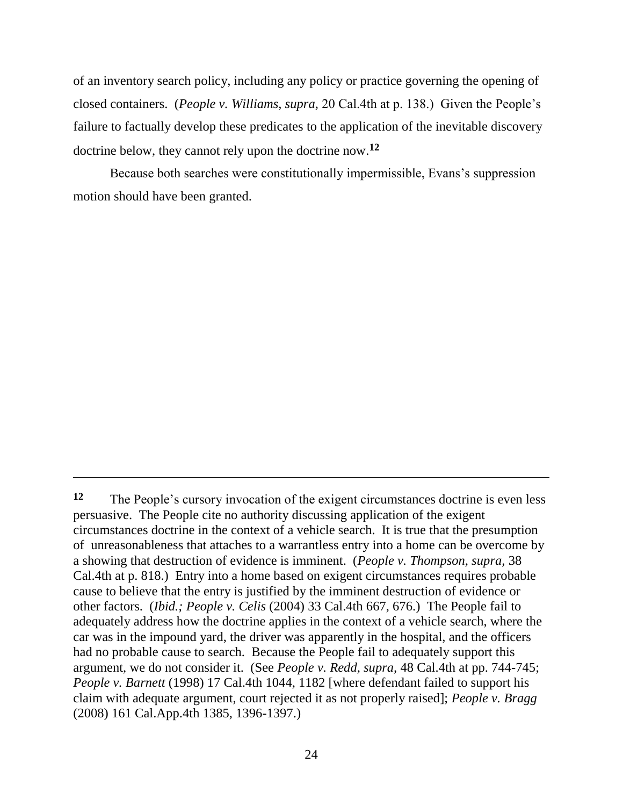of an inventory search policy, including any policy or practice governing the opening of closed containers. (*People v. Williams, supra,* 20 Cal.4th at p. 138.) Given the People's failure to factually develop these predicates to the application of the inevitable discovery doctrine below, they cannot rely upon the doctrine now. **12**

Because both searches were constitutionally impermissible, Evans's suppression motion should have been granted.

**<sup>12</sup>** The People's cursory invocation of the exigent circumstances doctrine is even less persuasive. The People cite no authority discussing application of the exigent circumstances doctrine in the context of a vehicle search. It is true that the presumption of unreasonableness that attaches to a warrantless entry into a home can be overcome by a showing that destruction of evidence is imminent. (*People v. Thompson, supra,* 38 Cal.4th at p. 818.) Entry into a home based on exigent circumstances requires probable cause to believe that the entry is justified by the imminent destruction of evidence or other factors. (*Ibid.; People v. Celis* (2004) 33 Cal.4th 667, 676.) The People fail to adequately address how the doctrine applies in the context of a vehicle search, where the car was in the impound yard, the driver was apparently in the hospital, and the officers had no probable cause to search. Because the People fail to adequately support this argument, we do not consider it. (See *People v. Redd, supra,* 48 Cal.4th at pp. 744-745; *People v. Barnett* (1998) 17 Cal.4th 1044, 1182 [where defendant failed to support his claim with adequate argument, court rejected it as not properly raised]; *People v. Bragg*  (2008) 161 Cal.App.4th 1385, 1396-1397.)